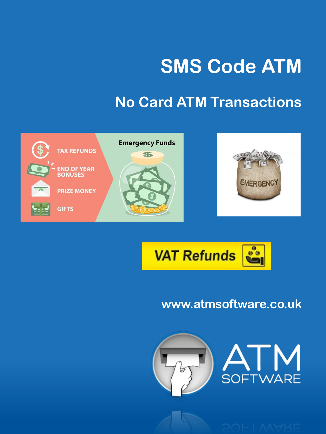# **SMS Code ATM**

## **No Card ATM Transactions**





### **www.atmsoftware.co.uk**





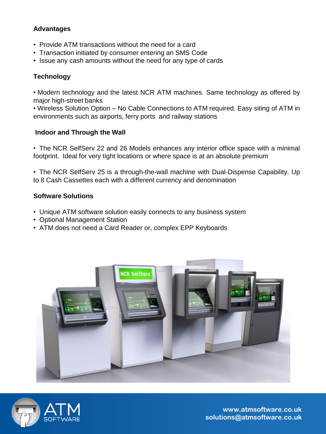#### **Advantages**

- Provide ATM transactions without the need for a card
- Transaction initiated by consumer entering an SMS Code
- Issue any cash amounts without the need for any type of cards

#### **Technology**

• Modern technology and the latest NCR ATM machines. Same technology as offered by major high-street banks

• Wireless Solution Option – No Cable Connections to ATM required. Easy siting of ATM in environments such as airports, ferry ports and railway stations

#### **Indoor and Through the Wall**

• The NCR SelfServ 22 and 26 Models enhances any interior office space with a minimal footprint. Ideal for very tight locations or where space is at an absolute premium

• The NCR SelfServ 25 is a through-the-wall machine with Dual-Dispense Capability. Up to 8 Cash Cassettes each with a different currency and denomination

#### **Software Solutions**

- Unique ATM software solution easily connects to any business system
- Optional Management Station
- ATM does not need a Card Reader or, complex EPP Keyboards





**www.atmsoftware.co.uk solutions@atmsoftware.co.uk**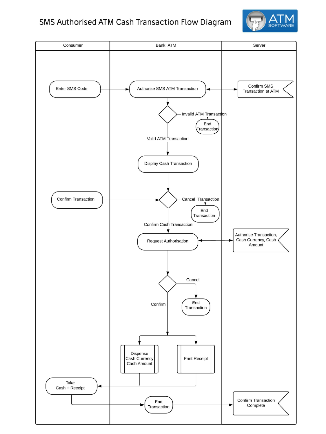#### SMS Authorised ATM Cash Transaction Flow Diagram